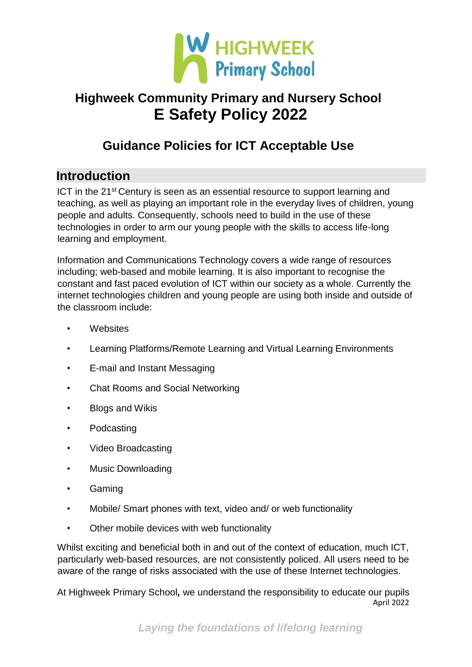

## **Guidance Policies for ICT Acceptable Use**

### **Introduction**

ICT in the 21<sup>st</sup> Century is seen as an essential resource to support learning and teaching, as well as playing an important role in the everyday lives of children, young people and adults. Consequently, schools need to build in the use of these technologies in order to arm our young people with the skills to access life-long learning and employment.

Information and Communications Technology covers a wide range of resources including; web-based and mobile learning. It is also important to recognise the constant and fast paced evolution of ICT within our society as a whole. Currently the internet technologies children and young people are using both inside and outside of the classroom include:

- **Websites**
- Learning Platforms/Remote Learning and Virtual Learning Environments
- E-mail and Instant Messaging
- Chat Rooms and Social Networking
- Blogs and Wikis
- Podcasting
- Video Broadcasting
- Music Downloading
- Gaming
- Mobile/ Smart phones with text, video and/ or web functionality
- Other mobile devices with web functionality

Whilst exciting and beneficial both in and out of the context of education, much ICT, particularly web-based resources, are not consistently policed. All users need to be aware of the range of risks associated with the use of these Internet technologies.

April 2022 At Highweek Primary School*,* we understand the responsibility to educate our pupils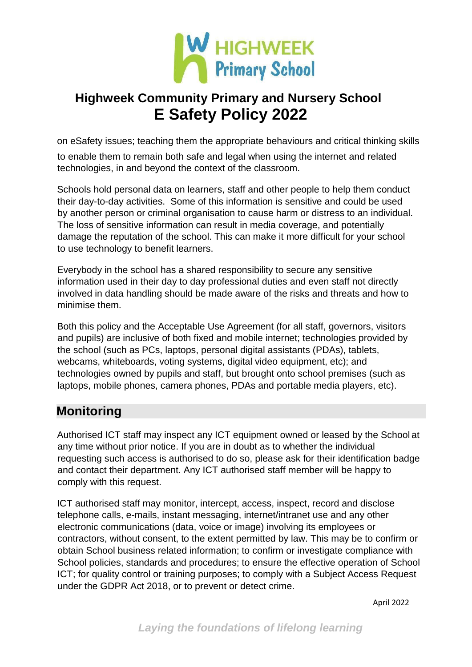

on eSafety issues; teaching them the appropriate behaviours and critical thinking skills to enable them to remain both safe and legal when using the internet and related technologies, in and beyond the context of the classroom.

Schools hold personal data on learners, staff and other people to help them conduct their day-to-day activities. Some of this information is sensitive and could be used by another person or criminal organisation to cause harm or distress to an individual. The loss of sensitive information can result in media coverage, and potentially damage the reputation of the school. This can make it more difficult for your school to use technology to benefit learners.

Everybody in the school has a shared responsibility to secure any sensitive information used in their day to day professional duties and even staff not directly involved in data handling should be made aware of the risks and threats and how to minimise them.

Both this policy and the Acceptable Use Agreement (for all staff, governors, visitors and pupils) are inclusive of both fixed and mobile internet; technologies provided by the school (such as PCs, laptops, personal digital assistants (PDAs), tablets, webcams, whiteboards, voting systems, digital video equipment, etc); and technologies owned by pupils and staff, but brought onto school premises (such as laptops, mobile phones, camera phones, PDAs and portable media players, etc).

### **Monitoring**

Authorised ICT staff may inspect any ICT equipment owned or leased by the School at any time without prior notice. If you are in doubt as to whether the individual requesting such access is authorised to do so, please ask for their identification badge and contact their department. Any ICT authorised staff member will be happy to comply with this request.

ICT authorised staff may monitor, intercept, access, inspect, record and disclose telephone calls, e-mails, instant messaging, internet/intranet use and any other electronic communications (data, voice or image) involving its employees or contractors, without consent, to the extent permitted by law. This may be to confirm or obtain School business related information; to confirm or investigate compliance with School policies, standards and procedures; to ensure the effective operation of School ICT; for quality control or training purposes; to comply with a Subject Access Request under the GDPR Act 2018, or to prevent or detect crime.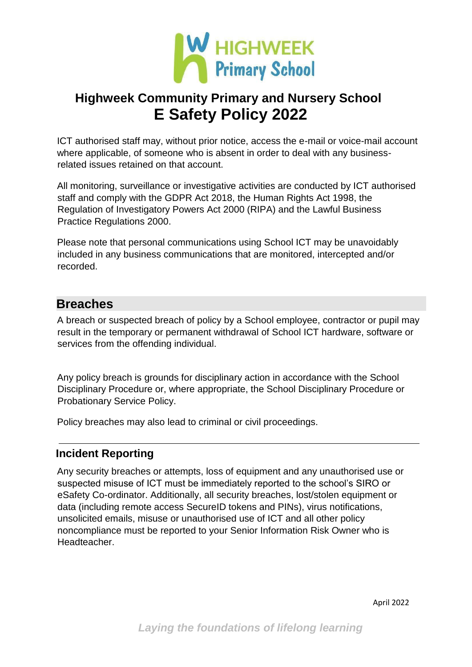

ICT authorised staff may, without prior notice, access the e-mail or voice-mail account where applicable, of someone who is absent in order to deal with any businessrelated issues retained on that account.

All monitoring, surveillance or investigative activities are conducted by ICT authorised staff and comply with the GDPR Act 2018, the Human Rights Act 1998, the Regulation of Investigatory Powers Act 2000 (RIPA) and the Lawful Business Practice Regulations 2000.

Please note that personal communications using School ICT may be unavoidably included in any business communications that are monitored, intercepted and/or recorded.

### **Breaches**

A breach or suspected breach of policy by a School employee, contractor or pupil may result in the temporary or permanent withdrawal of School ICT hardware, software or services from the offending individual.

Any policy breach is grounds for disciplinary action in accordance with the School Disciplinary Procedure or, where appropriate, the School Disciplinary Procedure or Probationary Service Policy.

Policy breaches may also lead to criminal or civil proceedings.

#### **Incident Reporting**

Any security breaches or attempts, loss of equipment and any unauthorised use or suspected misuse of ICT must be immediately reported to the school's SIRO or eSafety Co-ordinator. Additionally, all security breaches, lost/stolen equipment or data (including remote access SecureID tokens and PINs), virus notifications, unsolicited emails, misuse or unauthorised use of ICT and all other policy noncompliance must be reported to your Senior Information Risk Owner who is Headteacher.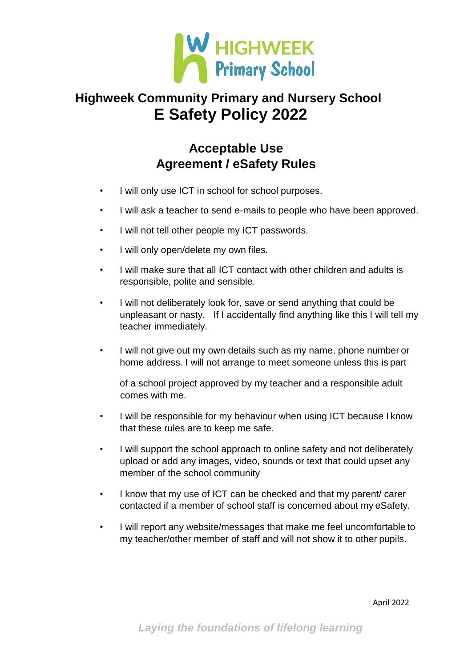

### **Acceptable Use Agreement / eSafety Rules**

- I will only use ICT in school for school purposes.
- I will ask a teacher to send e-mails to people who have been approved.
- I will not tell other people my ICT passwords.
- I will only open/delete my own files.
- I will make sure that all ICT contact with other children and adults is responsible, polite and sensible.
- I will not deliberately look for, save or send anything that could be unpleasant or nasty. If I accidentally find anything like this I will tell my teacher immediately.
- I will not give out my own details such as my name, phone number or home address. I will not arrange to meet someone unless this is part

of a school project approved by my teacher and a responsible adult comes with me.

- I will be responsible for my behaviour when using ICT because I know that these rules are to keep me safe.
- I will support the school approach to online safety and not deliberately upload or add any images, video, sounds or text that could upset any member of the school community
- I know that my use of ICT can be checked and that my parent/ carer contacted if a member of school staff is concerned about my eSafety.
- I will report any website/messages that make me feel uncomfortable to my teacher/other member of staff and will not show it to other pupils.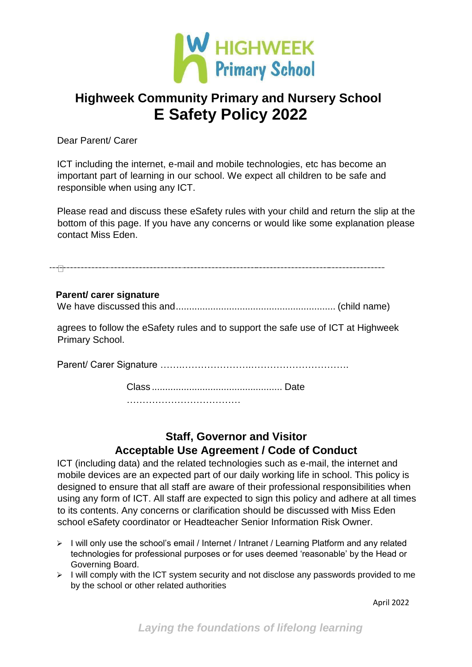

Dear Parent/ Carer

ICT including the internet, e-mail and mobile technologies, etc has become an important part of learning in our school. We expect all children to be safe and responsible when using any ICT.

Please read and discuss these eSafety rules with your child and return the slip at the bottom of this page. If you have any concerns or would like some explanation please contact Miss Eden.

### **Parent/ carer signature** We have discussed this and............................................................ (child name)

agrees to follow the eSafety rules and to support the safe use of ICT at Highweek Primary School.

Parent/ Carer Signature …….………………….………………………….

Class ................................................. Date

………………………………

### **Staff, Governor and Visitor Acceptable Use Agreement / Code of Conduct**

ICT (including data) and the related technologies such as e-mail, the internet and mobile devices are an expected part of our daily working life in school. This policy is designed to ensure that all staff are aware of their professional responsibilities when using any form of ICT. All staff are expected to sign this policy and adhere at all times to its contents. Any concerns or clarification should be discussed with Miss Eden school eSafety coordinator or Headteacher Senior Information Risk Owner.

- ➢ I will only use the school's email / Internet / Intranet / Learning Platform and any related technologies for professional purposes or for uses deemed 'reasonable' by the Head or Governing Board.
- ➢ I will comply with the ICT system security and not disclose any passwords provided to me by the school or other related authorities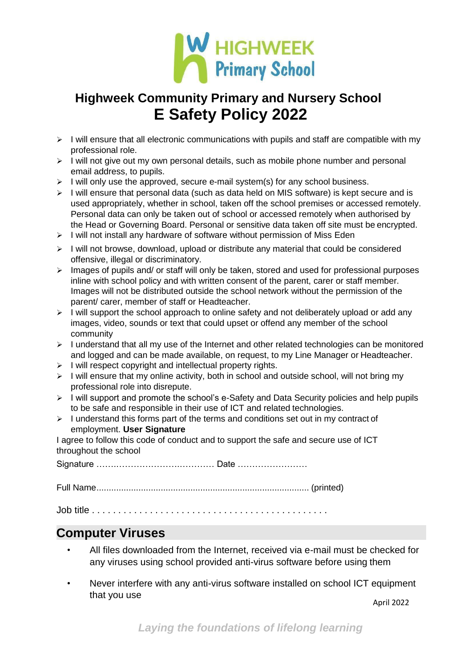

- $\triangleright$  I will ensure that all electronic communications with pupils and staff are compatible with my professional role.
- ➢ I will not give out my own personal details, such as mobile phone number and personal email address, to pupils.
- ➢ I will only use the approved, secure e-mail system(s) for any school business.
- $\triangleright$  I will ensure that personal data (such as data held on MIS software) is kept secure and is used appropriately, whether in school, taken off the school premises or accessed remotely. Personal data can only be taken out of school or accessed remotely when authorised by the Head or Governing Board. Personal or sensitive data taken off site must be encrypted.
- $\triangleright$  I will not install any hardware of software without permission of Miss Eden
- $\triangleright$  I will not browse, download, upload or distribute any material that could be considered offensive, illegal or discriminatory.

| $\triangleright$ Images of pupils and/ or staff will only be taken, stored and used for professional purposes |
|---------------------------------------------------------------------------------------------------------------|
| inline with school policy and with written consent of the parent, carer or staff member.                      |
| Images will not be distributed outside the school network without the permission of the                       |
| parent/ carer, member of staff or Headteacher.                                                                |

- ➢ I will support the school approach to online safety and not deliberately upload or add any images, video, sounds or text that could upset or offend any member of the school community
- ➢ I understand that all my use of the Internet and other related technologies can be monitored and logged and can be made available, on request, to my Line Manager or Headteacher.
- ➢ I will respect copyright and intellectual property rights.
- ➢ I will ensure that my online activity, both in school and outside school, will not bring my professional role into disrepute.
- $\triangleright$  I will support and promote the school's e-Safety and Data Security policies and help pupils to be safe and responsible in their use of ICT and related technologies.
- ➢ I understand this forms part of the terms and conditions set out in my contract of employment. **User Signature**

I agree to follow this code of conduct and to support the safe and secure use of ICT throughout the school

Signature …….………………….………… Date ……………………

Full Name...................................................................................... (printed)

Job title . . . . . . . . . . . . . . . . . . . . . . . . . . . . . . . . . . . . . . . . . . . . .

### **Computer Viruses**

- All files downloaded from the Internet, received via e-mail must be checked for any viruses using school provided anti-virus software before using them
- Never interfere with any anti-virus software installed on school ICT equipment that you use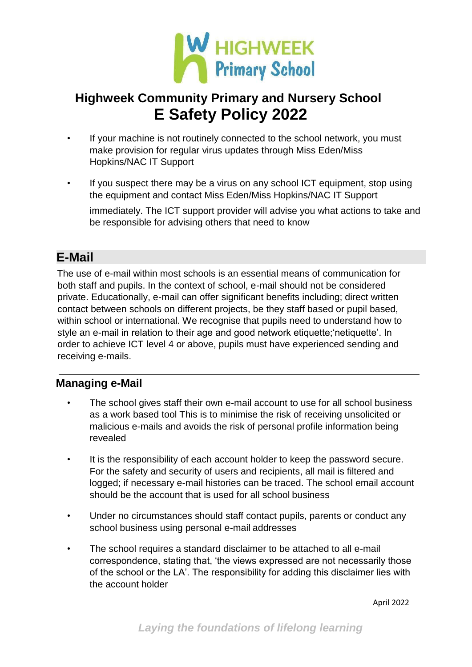

- If your machine is not routinely connected to the school network, you must make provision for regular virus updates through Miss Eden/Miss Hopkins/NAC IT Support
- If you suspect there may be a virus on any school ICT equipment, stop using the equipment and contact Miss Eden/Miss Hopkins/NAC IT Support immediately. The ICT support provider will advise you what actions to take and be responsible for advising others that need to know

### **E-Mail**

The use of e-mail within most schools is an essential means of communication for both staff and pupils. In the context of school, e-mail should not be considered private. Educationally, e-mail can offer significant benefits including; direct written contact between schools on different projects, be they staff based or pupil based, within school or international. We recognise that pupils need to understand how to style an e-mail in relation to their age and good network etiquette;'netiquette'. In order to achieve ICT level 4 or above, pupils must have experienced sending and receiving e-mails.

### **Managing e-Mail**

- The school gives staff their own e-mail account to use for all school business as a work based tool This is to minimise the risk of receiving unsolicited or malicious e-mails and avoids the risk of personal profile information being revealed
- It is the responsibility of each account holder to keep the password secure. For the safety and security of users and recipients, all mail is filtered and logged; if necessary e-mail histories can be traced. The school email account should be the account that is used for all school business
- Under no circumstances should staff contact pupils, parents or conduct any school business using personal e-mail addresses
- The school requires a standard disclaimer to be attached to all e-mail correspondence, stating that, 'the views expressed are not necessarily those of the school or the LA'. The responsibility for adding this disclaimer lies with the account holder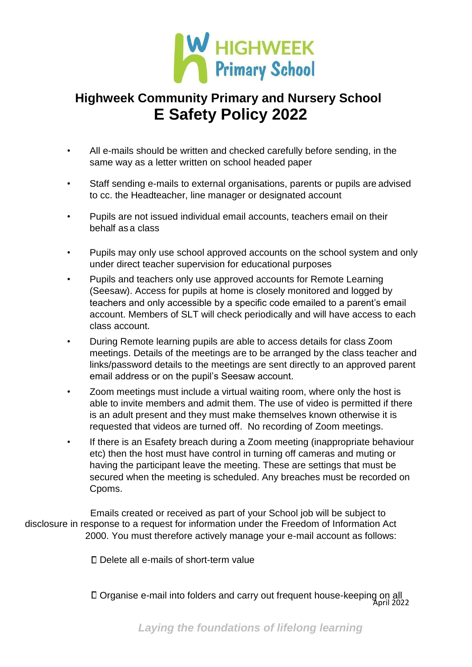

- All e-mails should be written and checked carefully before sending, in the same way as a letter written on school headed paper
- Staff sending e-mails to external organisations, parents or pupils are advised to cc. the Headteacher, line manager or designated account
- Pupils are not issued individual email accounts, teachers email on their behalf as a class
- Pupils may only use school approved accounts on the school system and only under direct teacher supervision for educational purposes
- Pupils and teachers only use approved accounts for Remote Learning (Seesaw). Access for pupils at home is closely monitored and logged by teachers and only accessible by a specific code emailed to a parent's email account. Members of SLT will check periodically and will have access to each class account.
- During Remote learning pupils are able to access details for class Zoom meetings. Details of the meetings are to be arranged by the class teacher and links/password details to the meetings are sent directly to an approved parent email address or on the pupil's Seesaw account.
- Zoom meetings must include a virtual waiting room, where only the host is able to invite members and admit them. The use of video is permitted if there is an adult present and they must make themselves known otherwise it is requested that videos are turned off. No recording of Zoom meetings.
- If there is an Esafety breach during a Zoom meeting (inappropriate behaviour etc) then the host must have control in turning off cameras and muting or having the participant leave the meeting. These are settings that must be secured when the meeting is scheduled. Any breaches must be recorded on Cpoms.

Emails created or received as part of your School job will be subject to disclosure in response to a request for information under the Freedom of Information Act 2000. You must therefore actively manage your e-mail account as follows:

Delete all e-mails of short-term value

April 2022 Organise e-mail into folders and carry out frequent house-keeping on all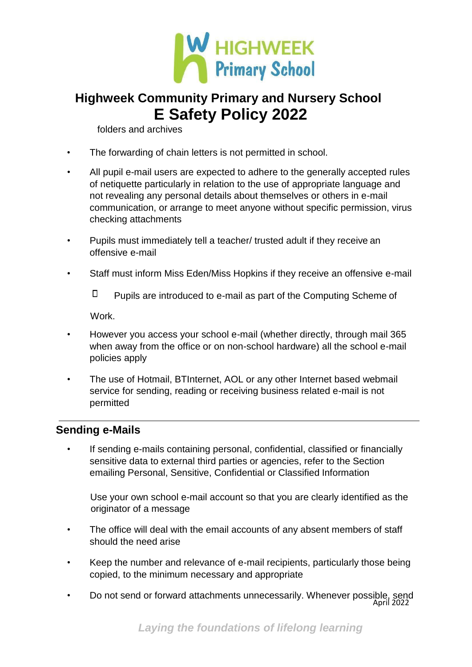

folders and archives

- The forwarding of chain letters is not permitted in school.
- All pupil e-mail users are expected to adhere to the generally accepted rules of netiquette particularly in relation to the use of appropriate language and not revealing any personal details about themselves or others in e-mail communication, or arrange to meet anyone without specific permission, virus checking attachments
- Pupils must immediately tell a teacher/ trusted adult if they receive an offensive e-mail
- Staff must inform Miss Eden/Miss Hopkins if they receive an offensive e-mail

 $\Box$ Pupils are introduced to e-mail as part of the Computing Scheme of

Work.

- However you access your school e-mail (whether directly, through mail 365 when away from the office or on non-school hardware) all the school e-mail policies apply
- The use of Hotmail, BTInternet, AOL or any other Internet based webmail service for sending, reading or receiving business related e-mail is not permitted

#### **Sending e-Mails**

If sending e-mails containing personal, confidential, classified or financially sensitive data to external third parties or agencies, refer to the Section emailing Personal, Sensitive, Confidential or Classified Information

Use your own school e-mail account so that you are clearly identified as the originator of a message

- The office will deal with the email accounts of any absent members of staff should the need arise
- Keep the number and relevance of e-mail recipients, particularly those being copied, to the minimum necessary and appropriate
- April 2022 • Do not send or forward attachments unnecessarily. Whenever possible, send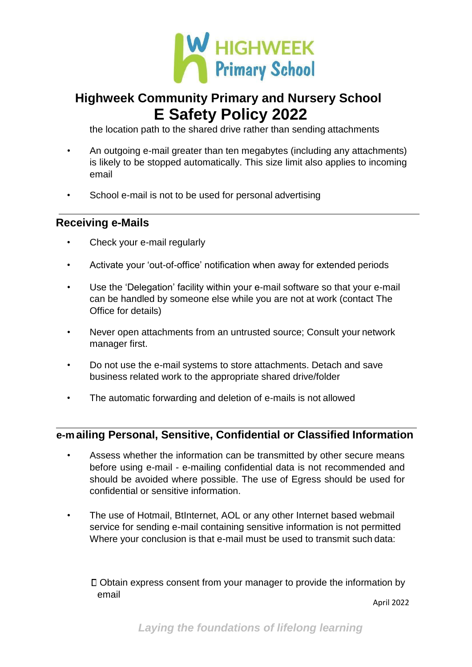

the location path to the shared drive rather than sending attachments

- An outgoing e-mail greater than ten megabytes (including any attachments) is likely to be stopped automatically. This size limit also applies to incoming email
- School e-mail is not to be used for personal advertising

#### **Receiving e-Mails**

- Check your e-mail regularly
- Activate your 'out-of-office' notification when away for extended periods
- Use the 'Delegation' facility within your e-mail software so that your e-mail can be handled by someone else while you are not at work (contact The Office for details)
- Never open attachments from an untrusted source; Consult your network manager first.
- Do not use the e-mail systems to store attachments. Detach and save business related work to the appropriate shared drive/folder
- The automatic forwarding and deletion of e-mails is not allowed

### **e-mailing Personal, Sensitive, Confidential or Classified Information**

- Assess whether the information can be transmitted by other secure means before using e-mail - e-mailing confidential data is not recommended and should be avoided where possible. The use of Egress should be used for confidential or sensitive information.
- The use of Hotmail, BtInternet, AOL or any other Internet based webmail service for sending e-mail containing sensitive information is not permitted Where your conclusion is that e-mail must be used to transmit such data:

Obtain express consent from your manager to provide the information by email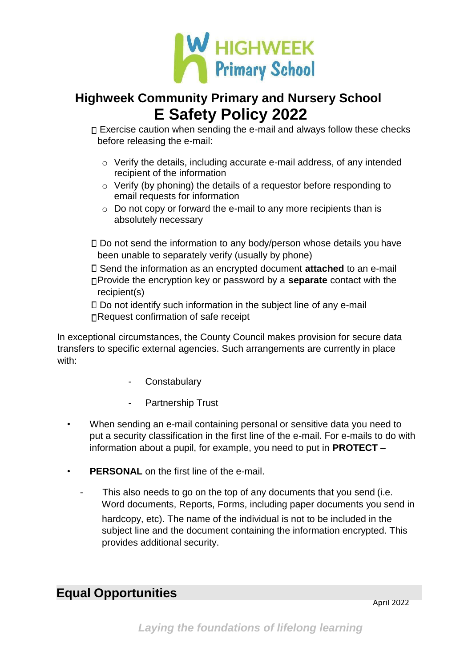

□ Exercise caution when sending the e-mail and always follow these checks before releasing the e-mail:

- o Verify the details, including accurate e-mail address, of any intended recipient of the information
- o Verify (by phoning) the details of a requestor before responding to email requests for information
- $\circ$  Do not copy or forward the e-mail to any more recipients than is absolutely necessary

Do not send the information to any body/person whose details you have been unable to separately verify (usually by phone)

Send the information as an encrypted document **attached** to an e-mail Provide the encryption key or password by a **separate** contact with the recipient(s)

Do not identify such information in the subject line of any e-mail □Request confirmation of safe receipt

In exceptional circumstances, the County Council makes provision for secure data transfers to specific external agencies. Such arrangements are currently in place with:

- **Constabulary**
- Partnership Trust
- When sending an e-mail containing personal or sensitive data you need to put a security classification in the first line of the e-mail. For e-mails to do with information about a pupil, for example, you need to put in **PROTECT –**
- **PERSONAL** on the first line of the e-mail.
	- This also needs to go on the top of any documents that you send (i.e. Word documents, Reports, Forms, including paper documents you send in hardcopy, etc). The name of the individual is not to be included in the subject line and the document containing the information encrypted. This provides additional security.

### **Equal Opportunities**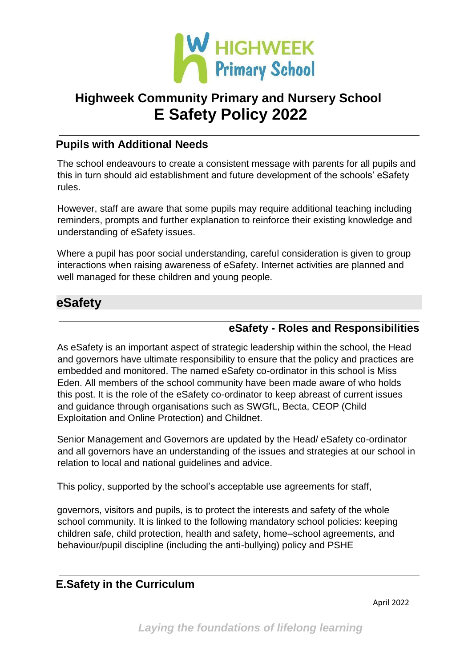

#### **Pupils with Additional Needs**

The school endeavours to create a consistent message with parents for all pupils and this in turn should aid establishment and future development of the schools' eSafety rules.

However, staff are aware that some pupils may require additional teaching including reminders, prompts and further explanation to reinforce their existing knowledge and understanding of eSafety issues.

Where a pupil has poor social understanding, careful consideration is given to group interactions when raising awareness of eSafety. Internet activities are planned and well managed for these children and young people.

### **eSafety**

#### **eSafety - Roles and Responsibilities**

As eSafety is an important aspect of strategic leadership within the school, the Head and governors have ultimate responsibility to ensure that the policy and practices are embedded and monitored. The named eSafety co-ordinator in this school is Miss Eden. All members of the school community have been made aware of who holds this post. It is the role of the eSafety co-ordinator to keep abreast of current issues and guidance through organisations such as SWGfL, Becta, CEOP (Child Exploitation and Online Protection) and Childnet.

Senior Management and Governors are updated by the Head/ eSafety co-ordinator and all governors have an understanding of the issues and strategies at our school in relation to local and national guidelines and advice.

This policy, supported by the school's acceptable use agreements for staff,

governors, visitors and pupils, is to protect the interests and safety of the whole school community. It is linked to the following mandatory school policies: keeping children safe, child protection, health and safety, home–school agreements, and behaviour/pupil discipline (including the anti-bullying) policy and PSHE

#### **E.Safety in the Curriculum**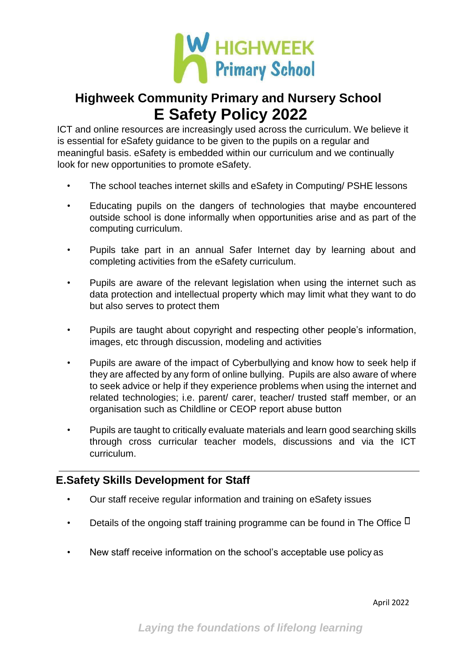

ICT and online resources are increasingly used across the curriculum. We believe it is essential for eSafety guidance to be given to the pupils on a regular and meaningful basis. eSafety is embedded within our curriculum and we continually look for new opportunities to promote eSafety.

- The school teaches internet skills and eSafety in Computing/ PSHE lessons
- Educating pupils on the dangers of technologies that maybe encountered outside school is done informally when opportunities arise and as part of the computing curriculum.
- Pupils take part in an annual Safer Internet day by learning about and completing activities from the eSafety curriculum.
- Pupils are aware of the relevant legislation when using the internet such as data protection and intellectual property which may limit what they want to do but also serves to protect them
- Pupils are taught about copyright and respecting other people's information, images, etc through discussion, modeling and activities
- Pupils are aware of the impact of Cyberbullying and know how to seek help if they are affected by any form of online bullying. Pupils are also aware of where to seek advice or help if they experience problems when using the internet and related technologies; i.e. parent/ carer, teacher/ trusted staff member, or an organisation such as Childline or CEOP report abuse button
- Pupils are taught to critically evaluate materials and learn good searching skills through cross curricular teacher models, discussions and via the ICT curriculum.

### **E.Safety Skills Development for Staff**

- Our staff receive regular information and training on eSafety issues
- Details of the ongoing staff training programme can be found in The Office  $\square$
- New staff receive information on the school's acceptable use policy as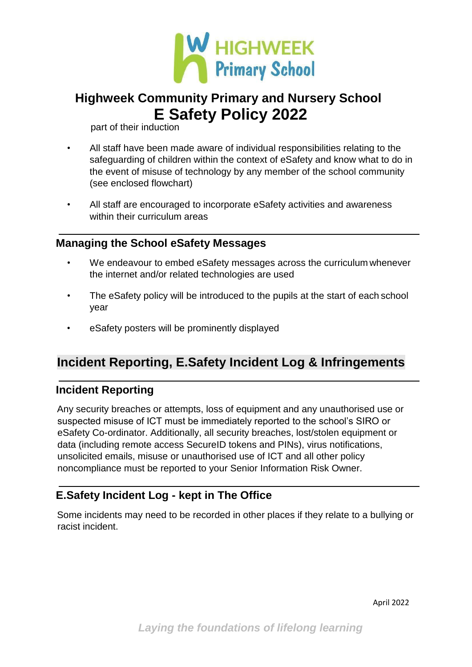

part of their induction

- All staff have been made aware of individual responsibilities relating to the safeguarding of children within the context of eSafety and know what to do in the event of misuse of technology by any member of the school community (see enclosed flowchart)
- All staff are encouraged to incorporate eSafety activities and awareness within their curriculum areas

### **Managing the School eSafety Messages**

- We endeavour to embed eSafety messages across the curriculum whenever the internet and/or related technologies are used
- The eSafety policy will be introduced to the pupils at the start of each school year
- eSafety posters will be prominently displayed

### **Incident Reporting, E.Safety Incident Log & Infringements**

### **Incident Reporting**

Any security breaches or attempts, loss of equipment and any unauthorised use or suspected misuse of ICT must be immediately reported to the school's SIRO or eSafety Co-ordinator. Additionally, all security breaches, lost/stolen equipment or data (including remote access SecureID tokens and PINs), virus notifications, unsolicited emails, misuse or unauthorised use of ICT and all other policy noncompliance must be reported to your Senior Information Risk Owner.

### **E.Safety Incident Log - kept in The Office**

Some incidents may need to be recorded in other places if they relate to a bullying or racist incident.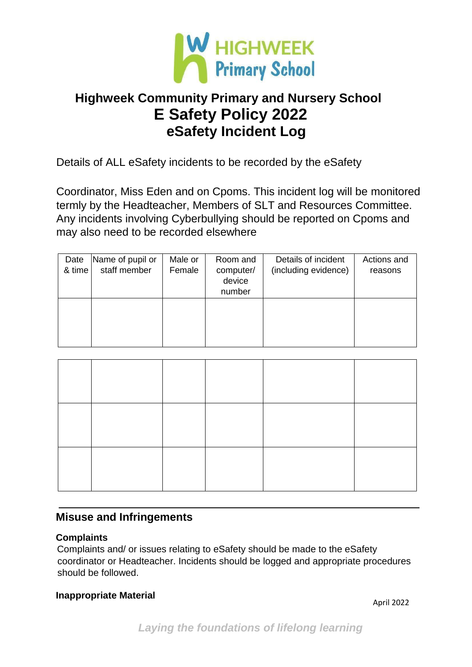

# **Highweek Community Primary and Nursery School E Safety Policy 2022 eSafety Incident Log**

Details of ALL eSafety incidents to be recorded by the eSafety

Coordinator, Miss Eden and on Cpoms. This incident log will be monitored termly by the Headteacher, Members of SLT and Resources Committee. Any incidents involving Cyberbullying should be reported on Cpoms and may also need to be recorded elsewhere

| Date<br>& time | Name of pupil or<br>staff member | Male or<br>Female | Room and<br>computer/<br>device<br>number | Details of incident<br>(including evidence) | Actions and<br>reasons |
|----------------|----------------------------------|-------------------|-------------------------------------------|---------------------------------------------|------------------------|
|                |                                  |                   |                                           |                                             |                        |

### **Misuse and Infringements**

#### **Complaints**

Complaints and/ or issues relating to eSafety should be made to the eSafety coordinator or Headteacher. Incidents should be logged and appropriate procedures should be followed.

#### **Inappropriate Material**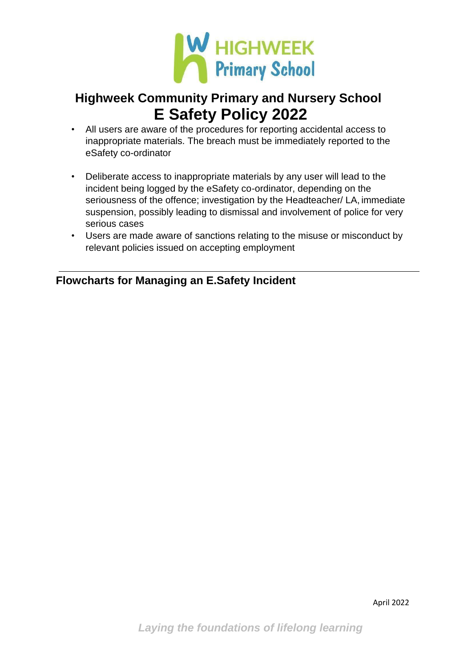

- All users are aware of the procedures for reporting accidental access to inappropriate materials. The breach must be immediately reported to the eSafety co-ordinator
- Deliberate access to inappropriate materials by any user will lead to the incident being logged by the eSafety co-ordinator, depending on the seriousness of the offence; investigation by the Headteacher/ LA, immediate suspension, possibly leading to dismissal and involvement of police for very serious cases
- Users are made aware of sanctions relating to the misuse or misconduct by relevant policies issued on accepting employment

### **Flowcharts for Managing an E.Safety Incident**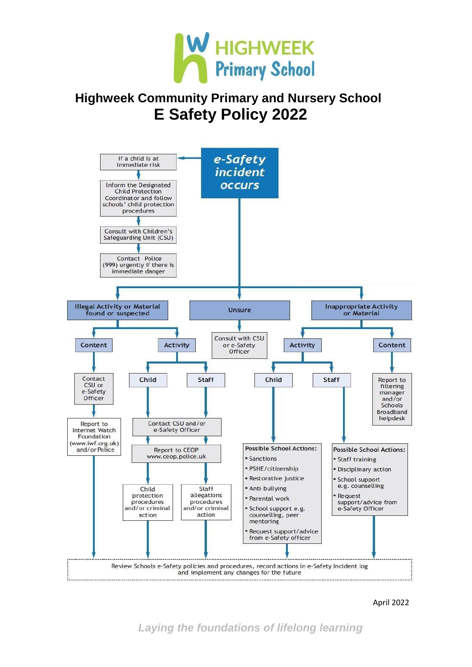



April 2022

*Laying the foundations of lifelong learning*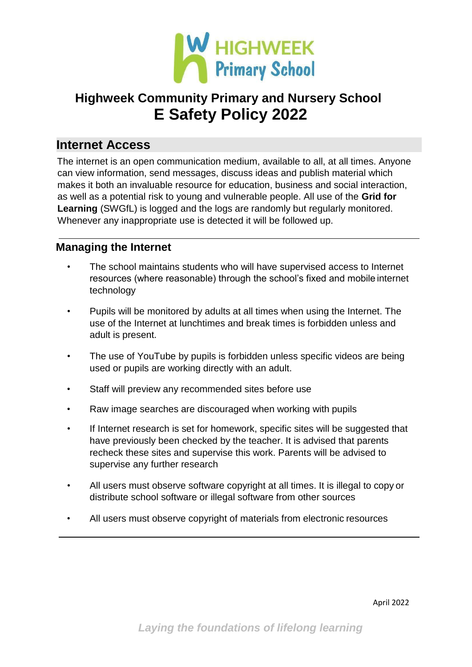

### **Internet Access**

The internet is an open communication medium, available to all, at all times. Anyone can view information, send messages, discuss ideas and publish material which makes it both an invaluable resource for education, business and social interaction, as well as a potential risk to young and vulnerable people. All use of the **Grid for Learning** (SWGfL) is logged and the logs are randomly but regularly monitored. Whenever any inappropriate use is detected it will be followed up.

### **Managing the Internet**

- The school maintains students who will have supervised access to Internet resources (where reasonable) through the school's fixed and mobile internet technology
- Pupils will be monitored by adults at all times when using the Internet. The use of the Internet at lunchtimes and break times is forbidden unless and adult is present.
- The use of YouTube by pupils is forbidden unless specific videos are being used or pupils are working directly with an adult.
- Staff will preview any recommended sites before use
- Raw image searches are discouraged when working with pupils
- If Internet research is set for homework, specific sites will be suggested that have previously been checked by the teacher. It is advised that parents recheck these sites and supervise this work. Parents will be advised to supervise any further research
- All users must observe software copyright at all times. It is illegal to copy or distribute school software or illegal software from other sources
- All users must observe copyright of materials from electronic resources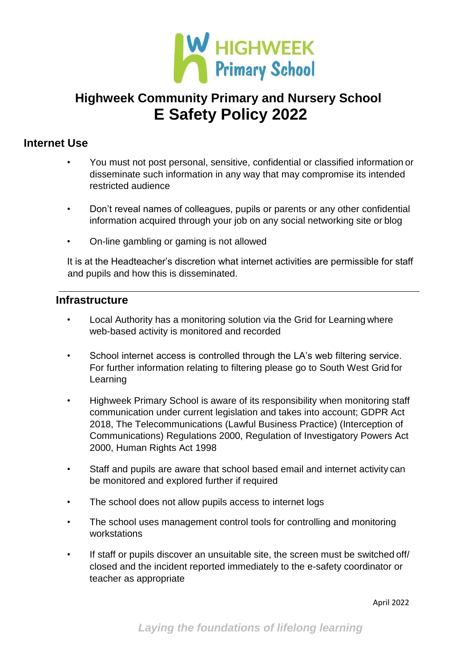

#### **Internet Use**

- You must not post personal, sensitive, confidential or classified information or disseminate such information in any way that may compromise its intended restricted audience
- Don't reveal names of colleagues, pupils or parents or any other confidential information acquired through your job on any social networking site or blog
- On-line gambling or gaming is not allowed

It is at the Headteacher's discretion what internet activities are permissible for staff and pupils and how this is disseminated.

#### **Infrastructure**

- Local Authority has a monitoring solution via the Grid for Learning where web-based activity is monitored and recorded
- School internet access is controlled through the LA's web filtering service. For further information relating to filtering please go to South West Grid for Learning
- Highweek Primary School is aware of its responsibility when monitoring staff communication under current legislation and takes into account; GDPR Act 2018, The Telecommunications (Lawful Business Practice) (Interception of Communications) Regulations 2000, Regulation of Investigatory Powers Act 2000, Human Rights Act 1998
- Staff and pupils are aware that school based email and internet activity can be monitored and explored further if required
- The school does not allow pupils access to internet logs
- The school uses management control tools for controlling and monitoring workstations
- If staff or pupils discover an unsuitable site, the screen must be switched off/ closed and the incident reported immediately to the e-safety coordinator or teacher as appropriate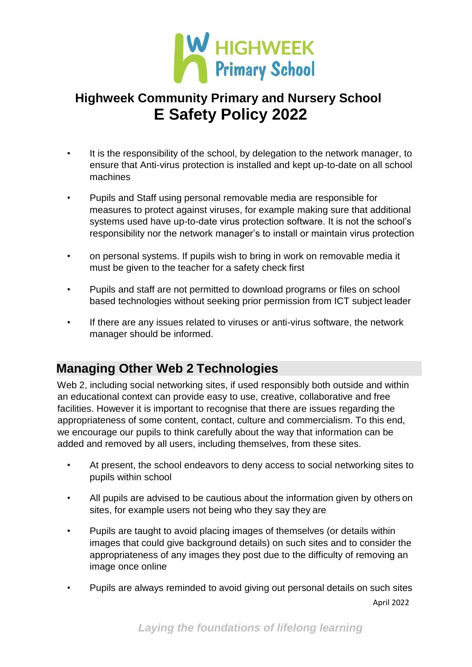

- It is the responsibility of the school, by delegation to the network manager, to ensure that Anti-virus protection is installed and kept up-to-date on all school machines
- Pupils and Staff using personal removable media are responsible for measures to protect against viruses, for example making sure that additional systems used have up-to-date virus protection software. It is not the school's responsibility nor the network manager's to install or maintain virus protection
- on personal systems. If pupils wish to bring in work on removable media it must be given to the teacher for a safety check first
- Pupils and staff are not permitted to download programs or files on school based technologies without seeking prior permission from ICT subject leader
- If there are any issues related to viruses or anti-virus software, the network manager should be informed.

### **Managing Other Web 2 Technologies**

Web 2, including social networking sites, if used responsibly both outside and within an educational context can provide easy to use, creative, collaborative and free facilities. However it is important to recognise that there are issues regarding the appropriateness of some content, contact, culture and commercialism. To this end, we encourage our pupils to think carefully about the way that information can be added and removed by all users, including themselves, from these sites.

- At present, the school endeavors to deny access to social networking sites to pupils within school
- All pupils are advised to be cautious about the information given by others on sites, for example users not being who they say they are
- Pupils are taught to avoid placing images of themselves (or details within images that could give background details) on such sites and to consider the appropriateness of any images they post due to the difficulty of removing an image once online
- April 2022 • Pupils are always reminded to avoid giving out personal details on such sites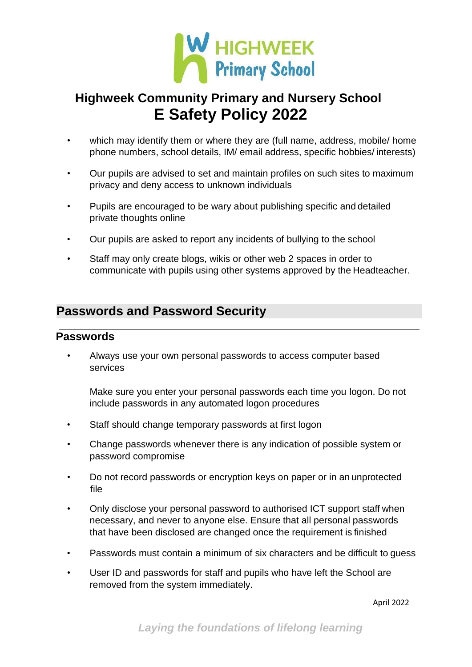

- which may identify them or where they are (full name, address, mobile/ home phone numbers, school details, IM/ email address, specific hobbies/ interests)
- Our pupils are advised to set and maintain profiles on such sites to maximum privacy and deny access to unknown individuals
- Pupils are encouraged to be wary about publishing specific and detailed private thoughts online
- Our pupils are asked to report any incidents of bullying to the school
- Staff may only create blogs, wikis or other web 2 spaces in order to communicate with pupils using other systems approved by the Headteacher.

### **Passwords and Password Security**

#### **Passwords**

• Always use your own personal passwords to access computer based services

Make sure you enter your personal passwords each time you logon. Do not include passwords in any automated logon procedures

- Staff should change temporary passwords at first logon
- Change passwords whenever there is any indication of possible system or password compromise
- Do not record passwords or encryption keys on paper or in an unprotected file
- Only disclose your personal password to authorised ICT support staff when necessary, and never to anyone else. Ensure that all personal passwords that have been disclosed are changed once the requirement is finished
- Passwords must contain a minimum of six characters and be difficult to guess
- User ID and passwords for staff and pupils who have left the School are removed from the system immediately.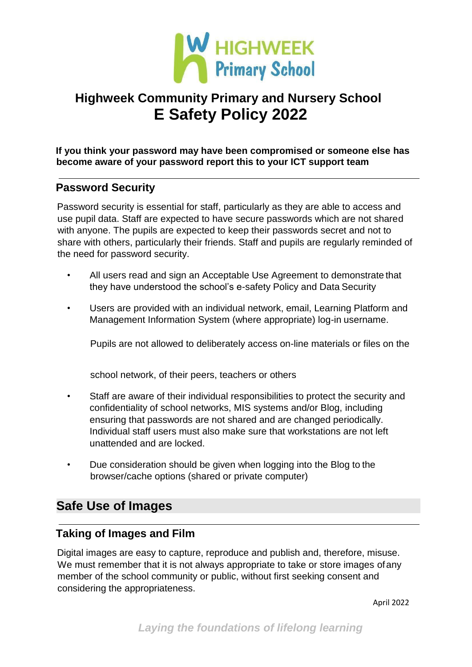

**If you think your password may have been compromised or someone else has become aware of your password report this to your ICT support team**

#### **Password Security**

Password security is essential for staff, particularly as they are able to access and use pupil data. Staff are expected to have secure passwords which are not shared with anyone. The pupils are expected to keep their passwords secret and not to share with others, particularly their friends. Staff and pupils are regularly reminded of the need for password security.

- All users read and sign an Acceptable Use Agreement to demonstrate that they have understood the school's e-safety Policy and Data Security
- Users are provided with an individual network, email, Learning Platform and Management Information System (where appropriate) log-in username.

Pupils are not allowed to deliberately access on-line materials or files on the

school network, of their peers, teachers or others

- Staff are aware of their individual responsibilities to protect the security and confidentiality of school networks, MIS systems and/or Blog, including ensuring that passwords are not shared and are changed periodically. Individual staff users must also make sure that workstations are not left unattended and are locked.
- Due consideration should be given when logging into the Blog to the browser/cache options (shared or private computer)

### **Safe Use of Images**

#### **Taking of Images and Film**

Digital images are easy to capture, reproduce and publish and, therefore, misuse. We must remember that it is not always appropriate to take or store images of any member of the school community or public, without first seeking consent and considering the appropriateness.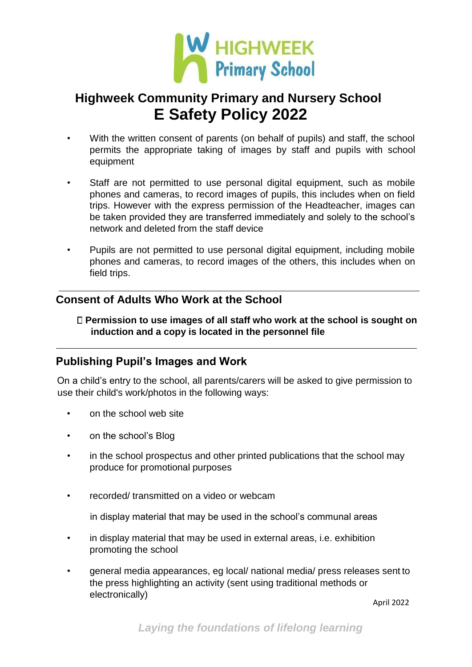

- With the written consent of parents (on behalf of pupils) and staff, the school permits the appropriate taking of images by staff and pupils with school equipment
- Staff are not permitted to use personal digital equipment, such as mobile phones and cameras, to record images of pupils, this includes when on field trips. However with the express permission of the Headteacher, images can be taken provided they are transferred immediately and solely to the school's network and deleted from the staff device
- Pupils are not permitted to use personal digital equipment, including mobile phones and cameras, to record images of the others, this includes when on field trips.

#### **Consent of Adults Who Work at the School**

**Permission to use images of all staff who work at the school is sought on induction and a copy is located in the personnel file**

### **Publishing Pupil's Images and Work**

On a child's entry to the school, all parents/carers will be asked to give permission to use their child's work/photos in the following ways:

- on the school web site
- on the school's Blog
- in the school prospectus and other printed publications that the school may produce for promotional purposes
- recorded/ transmitted on a video or webcam
	- in display material that may be used in the school's communal areas
- in display material that may be used in external areas, i.e. exhibition promoting the school
- general media appearances, eg local/ national media/ press releases sent to the press highlighting an activity (sent using traditional methods or electronically)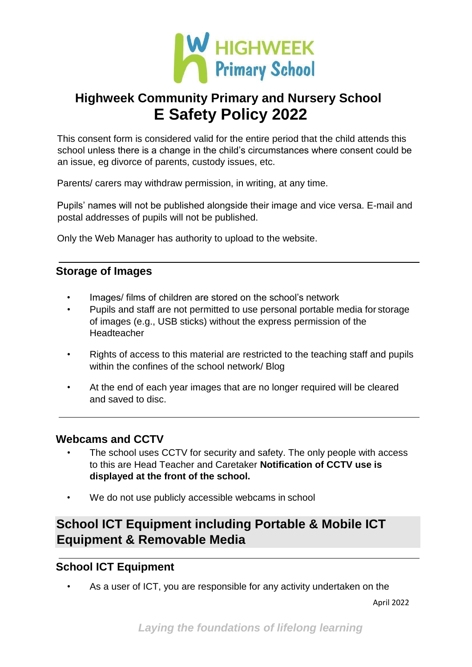

This consent form is considered valid for the entire period that the child attends this school unless there is a change in the child's circumstances where consent could be an issue, eg divorce of parents, custody issues, etc.

Parents/ carers may withdraw permission, in writing, at any time.

Pupils' names will not be published alongside their image and vice versa. E-mail and postal addresses of pupils will not be published.

Only the Web Manager has authority to upload to the website.

#### **Storage of Images**

- Images/ films of children are stored on the school's network
- Pupils and staff are not permitted to use personal portable media for storage of images (e.g., USB sticks) without the express permission of the Headteacher
- Rights of access to this material are restricted to the teaching staff and pupils within the confines of the school network/ Blog
- At the end of each year images that are no longer required will be cleared and saved to disc.

#### **Webcams and CCTV**

- The school uses CCTV for security and safety. The only people with access to this are Head Teacher and Caretaker **Notification of CCTV use is displayed at the front of the school.**
- We do not use publicly accessible webcams in school

### **School ICT Equipment including Portable & Mobile ICT Equipment & Removable Media**

#### **School ICT Equipment**

As a user of ICT, you are responsible for any activity undertaken on the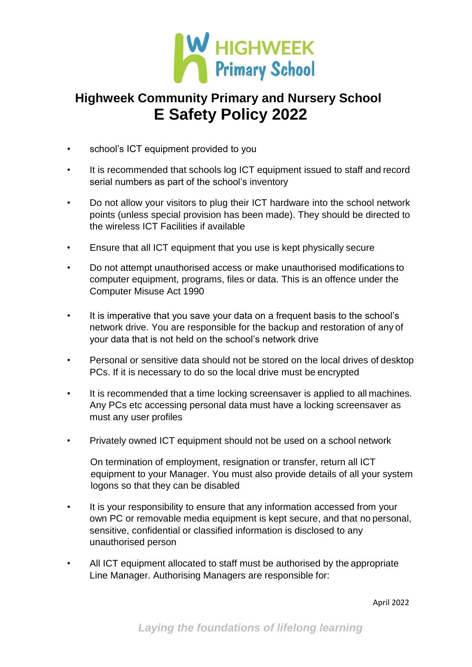

- school's ICT equipment provided to you
- It is recommended that schools log ICT equipment issued to staff and record serial numbers as part of the school's inventory
- Do not allow your visitors to plug their ICT hardware into the school network points (unless special provision has been made). They should be directed to the wireless ICT Facilities if available
- Ensure that all ICT equipment that you use is kept physically secure
- Do not attempt unauthorised access or make unauthorised modifications to computer equipment, programs, files or data. This is an offence under the Computer Misuse Act 1990
- It is imperative that you save your data on a frequent basis to the school's network drive. You are responsible for the backup and restoration of any of your data that is not held on the school's network drive
- Personal or sensitive data should not be stored on the local drives of desktop PCs. If it is necessary to do so the local drive must be encrypted
- It is recommended that a time locking screensaver is applied to all machines. Any PCs etc accessing personal data must have a locking screensaver as must any user profiles
- Privately owned ICT equipment should not be used on a school network

On termination of employment, resignation or transfer, return all ICT equipment to your Manager. You must also provide details of all your system logons so that they can be disabled

- It is your responsibility to ensure that any information accessed from your own PC or removable media equipment is kept secure, and that no personal, sensitive, confidential or classified information is disclosed to any unauthorised person
- All ICT equipment allocated to staff must be authorised by the appropriate Line Manager. Authorising Managers are responsible for: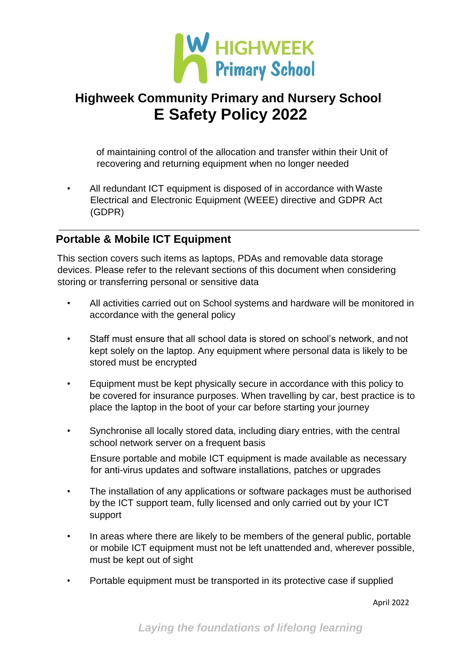

of maintaining control of the allocation and transfer within their Unit of recovering and returning equipment when no longer needed

• All redundant ICT equipment is disposed of in accordance with Waste Electrical and Electronic Equipment (WEEE) directive and GDPR Act (GDPR)

### **Portable & Mobile ICT Equipment**

This section covers such items as laptops, PDAs and removable data storage devices. Please refer to the relevant sections of this document when considering storing or transferring personal or sensitive data

- All activities carried out on School systems and hardware will be monitored in accordance with the general policy
- Staff must ensure that all school data is stored on school's network, and not kept solely on the laptop. Any equipment where personal data is likely to be stored must be encrypted
- Equipment must be kept physically secure in accordance with this policy to be covered for insurance purposes. When travelling by car, best practice is to place the laptop in the boot of your car before starting your journey
- Synchronise all locally stored data, including diary entries, with the central school network server on a frequent basis

Ensure portable and mobile ICT equipment is made available as necessary for anti-virus updates and software installations, patches or upgrades

- The installation of any applications or software packages must be authorised by the ICT support team, fully licensed and only carried out by your ICT support
- In areas where there are likely to be members of the general public, portable or mobile ICT equipment must not be left unattended and, wherever possible, must be kept out of sight
- Portable equipment must be transported in its protective case if supplied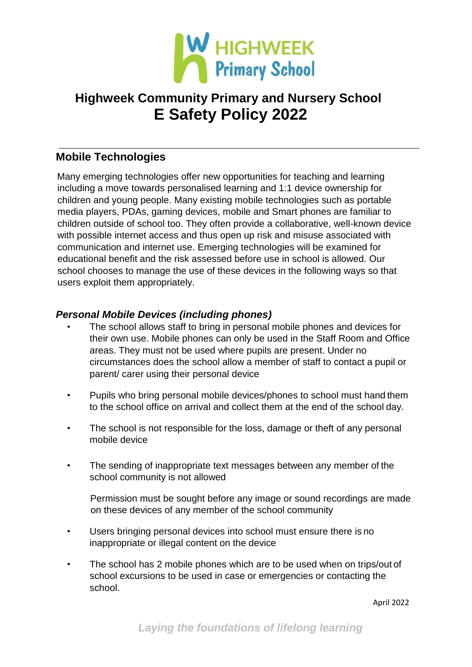

### **Mobile Technologies**

Many emerging technologies offer new opportunities for teaching and learning including a move towards personalised learning and 1:1 device ownership for children and young people. Many existing mobile technologies such as portable media players, PDAs, gaming devices, mobile and Smart phones are familiar to children outside of school too. They often provide a collaborative, well-known device with possible internet access and thus open up risk and misuse associated with communication and internet use. Emerging technologies will be examined for educational benefit and the risk assessed before use in school is allowed. Our school chooses to manage the use of these devices in the following ways so that users exploit them appropriately.

#### *Personal Mobile Devices (including phones)*

- The school allows staff to bring in personal mobile phones and devices for their own use. Mobile phones can only be used in the Staff Room and Office areas. They must not be used where pupils are present. Under no circumstances does the school allow a member of staff to contact a pupil or parent/ carer using their personal device
- Pupils who bring personal mobile devices/phones to school must hand them to the school office on arrival and collect them at the end of the school day.
- The school is not responsible for the loss, damage or theft of any personal mobile device
- The sending of inappropriate text messages between any member of the school community is not allowed

Permission must be sought before any image or sound recordings are made on these devices of any member of the school community

- Users bringing personal devices into school must ensure there is no inappropriate or illegal content on the device
- The school has 2 mobile phones which are to be used when on trips/out of school excursions to be used in case or emergencies or contacting the school.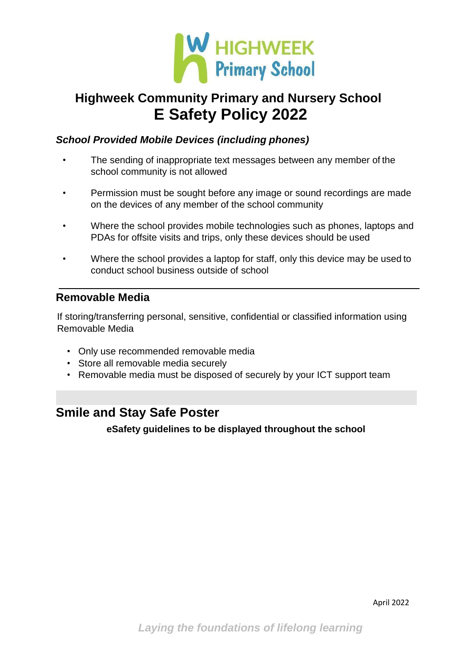

#### *School Provided Mobile Devices (including phones)*

- The sending of inappropriate text messages between any member of the school community is not allowed
- Permission must be sought before any image or sound recordings are made on the devices of any member of the school community
- Where the school provides mobile technologies such as phones, laptops and PDAs for offsite visits and trips, only these devices should be used
- Where the school provides a laptop for staff, only this device may be used to conduct school business outside of school

### **Removable Media**

If storing/transferring personal, sensitive, confidential or classified information using Removable Media

- Only use recommended removable media
- Store all removable media securely
- Removable media must be disposed of securely by your ICT support team

### **Smile and Stay Safe Poster**

**eSafety guidelines to be displayed throughout the school**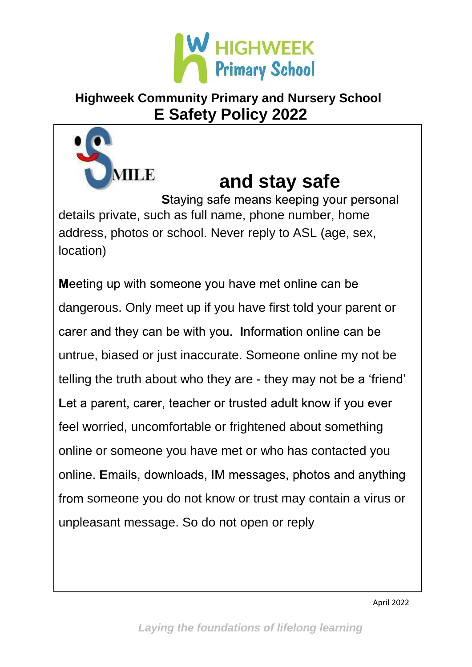

# **and stay safe**

**Staying safe means keeping your personal** details private, such as full name, phone number, home address, photos or school. Never reply to ASL (age, sex, location)

MILE

Meeting up with someone you have met online can be dangerous. Only meet up if you have first told your parent or carer and they can be with you. Information online can be untrue, biased or just inaccurate. Someone online my not be telling the truth about who they are - they may not be a 'friend' Let a parent, carer, teacher or trusted adult know if you ever feel worried, uncomfortable or frightened about something online or someone you have met or who has contacted you online. Emails, downloads, IM messages, photos and anything from someone you do not know or trust may contain a virus or unpleasant message. So do not open or reply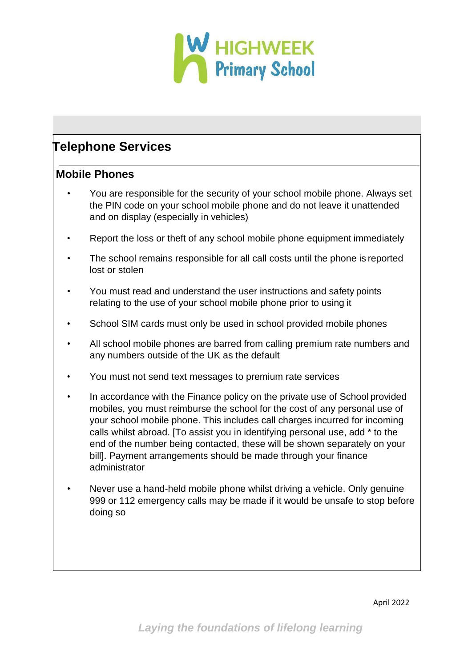

### **Telephone Services**

#### **Mobile Phones**

- You are responsible for the security of your school mobile phone. Always set the PIN code on your school mobile phone and do not leave it unattended and on display (especially in vehicles)
- Report the loss or theft of any school mobile phone equipment immediately
- The school remains responsible for all call costs until the phone is reported lost or stolen
- You must read and understand the user instructions and safety points relating to the use of your school mobile phone prior to using it
- School SIM cards must only be used in school provided mobile phones
- All school mobile phones are barred from calling premium rate numbers and any numbers outside of the UK as the default
- You must not send text messages to premium rate services
- In accordance with the Finance policy on the private use of School provided mobiles, you must reimburse the school for the cost of any personal use of your school mobile phone. This includes call charges incurred for incoming calls whilst abroad. [To assist you in identifying personal use, add \* to the end of the number being contacted, these will be shown separately on your bill]. Payment arrangements should be made through your finance administrator
- Never use a hand-held mobile phone whilst driving a vehicle. Only genuine 999 or 112 emergency calls may be made if it would be unsafe to stop before doing so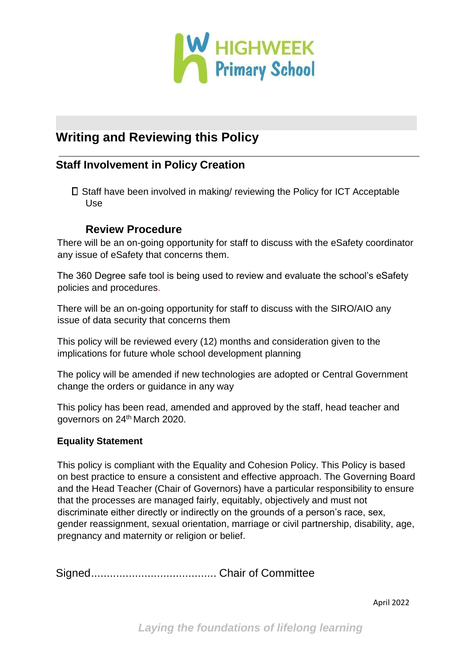

### **Writing and Reviewing this Policy**

### **Staff Involvement in Policy Creation**

 $\square$  Staff have been involved in making/ reviewing the Policy for ICT Acceptable Use

#### **Review Procedure**

There will be an on-going opportunity for staff to discuss with the eSafety coordinator any issue of eSafety that concerns them.

The 360 Degree safe tool is being used to review and evaluate the school's eSafety policies and procedures.

There will be an on-going opportunity for staff to discuss with the SIRO/AIO any issue of data security that concerns them

This policy will be reviewed every (12) months and consideration given to the implications for future whole school development planning

The policy will be amended if new technologies are adopted or Central Government change the orders or guidance in any way

This policy has been read, amended and approved by the staff, head teacher and governors on 24<sup>th</sup> March 2020.

#### **Equality Statement**

This policy is compliant with the Equality and Cohesion Policy. This Policy is based on best practice to ensure a consistent and effective approach. The Governing Board and the Head Teacher (Chair of Governors) have a particular responsibility to ensure that the processes are managed fairly, equitably, objectively and must not discriminate either directly or indirectly on the grounds of a person's race, sex, gender reassignment, sexual orientation, marriage or civil partnership, disability, age, pregnancy and maternity or religion or belief.

Signed........................................ Chair of Committee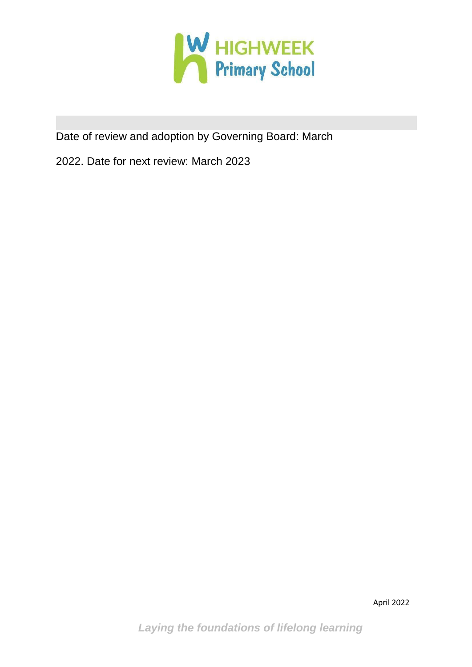

Date of review and adoption by Governing Board: March

2022. Date for next review: March 2023

*Laying the foundations of lifelong learning*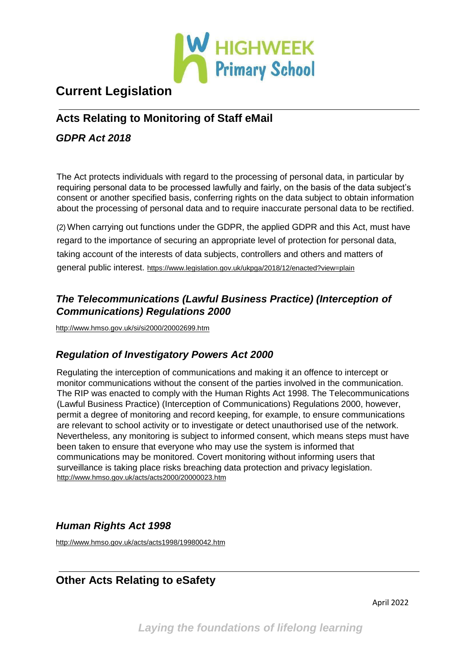

### **Current Legislation**

### **Acts Relating to Monitoring of Staff eMail**

#### *GDPR Act 2018*

The Act protects individuals with regard to the processing of personal data, in particular by requiring personal data to be processed lawfully and fairly, on the basis of the data subject's consent or another specified basis, conferring rights on the data subject to obtain information about the processing of personal data and to require inaccurate personal data to be rectified.

(2) When carrying out functions under the GDPR, the applied GDPR and this Act, must have regard to the importance of securing an appropriate level of protection for personal data, taking account of the interests of data subjects, controllers and others and matters of general public interest. https:[//www.legislation.gov.uk/ukpga/2018/12/enacted?view=plain](http://www.legislation.gov.uk/ukpga/2018/12/enacted?view=plain)

#### *The Telecommunications (Lawful Business Practice) (Interception of Communications) Regulations 2000*

<http://www.hmso.gov.uk/si/si2000/20002699.htm>

### *Regulation of Investigatory Powers Act 2000*

Regulating the interception of communications and making it an offence to intercept or monitor communications without the consent of the parties involved in the communication. The RIP was enacted to comply with the Human Rights Act 1998. The Telecommunications (Lawful Business Practice) (Interception of Communications) Regulations 2000, however, permit a degree of monitoring and record keeping, for example, to ensure communications are relevant to school activity or to investigate or detect unauthorised use of the network. Nevertheless, any monitoring is subject to informed consent, which means steps must have been taken to ensure that everyone who may use the system is informed that communications may be monitored. Covert monitoring without informing users that surveillance is taking place risks breaching data protection and privacy legislation. <http://www.hmso.gov.uk/acts/acts2000/20000023.htm>

### *Human Rights Act 1998*

<http://www.hmso.gov.uk/acts/acts1998/19980042.htm>

### **Other Acts Relating to eSafety**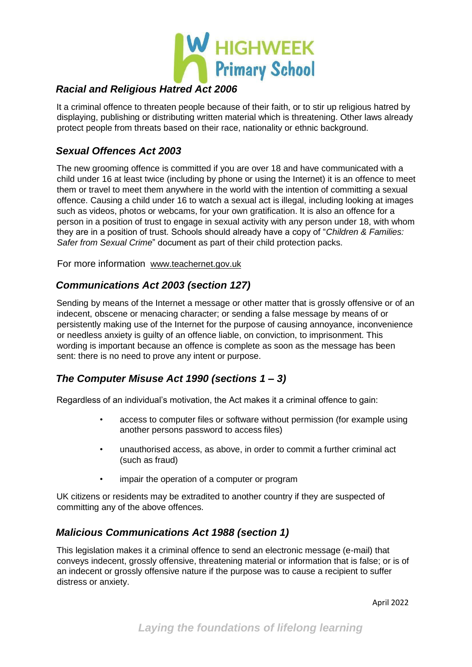

#### *Racial and Religious Hatred Act 2006*

It a criminal offence to threaten people because of their faith, or to stir up religious hatred by displaying, publishing or distributing written material which is threatening. Other laws already protect people from threats based on their race, nationality or ethnic background.

#### *Sexual Offences Act 2003*

The new grooming offence is committed if you are over 18 and have communicated with a child under 16 at least twice (including by phone or using the Internet) it is an offence to meet them or travel to meet them anywhere in the world with the intention of committing a sexual offence. Causing a child under 16 to watch a sexual act is illegal, including looking at images such as videos, photos or webcams, for your own gratification. It is also an offence for a person in a position of trust to engage in sexual activity with any person under 18, with whom they are in a position of trust. Schools should already have a copy of "*Children & Families: Safer from Sexual Crime*" document as part of their child protection packs.

For more information [www.teachernet.gov.uk](http://www.teachernet.gov.uk/)

#### *Communications Act 2003 (section 127)*

Sending by means of the Internet a message or other matter that is grossly offensive or of an indecent, obscene or menacing character; or sending a false message by means of or persistently making use of the Internet for the purpose of causing annoyance, inconvenience or needless anxiety is guilty of an offence liable, on conviction, to imprisonment. This wording is important because an offence is complete as soon as the message has been sent: there is no need to prove any intent or purpose.

#### *The Computer Misuse Act 1990 (sections 1 – 3)*

Regardless of an individual's motivation, the Act makes it a criminal offence to gain:

- access to computer files or software without permission (for example using another persons password to access files)
- unauthorised access, as above, in order to commit a further criminal act (such as fraud)
- impair the operation of a computer or program

UK citizens or residents may be extradited to another country if they are suspected of committing any of the above offences.

#### *Malicious Communications Act 1988 (section 1)*

This legislation makes it a criminal offence to send an electronic message (e-mail) that conveys indecent, grossly offensive, threatening material or information that is false; or is of an indecent or grossly offensive nature if the purpose was to cause a recipient to suffer distress or anxiety.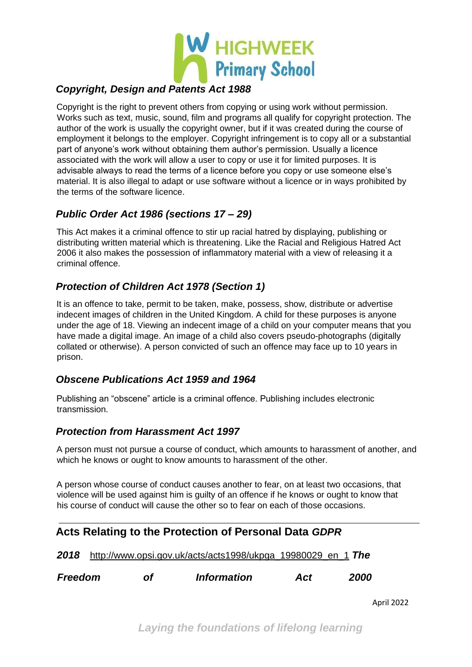

#### *Copyright, Design and Patents Act 1988*

Copyright is the right to prevent others from copying or using work without permission. Works such as text, music, sound, film and programs all qualify for copyright protection. The author of the work is usually the copyright owner, but if it was created during the course of employment it belongs to the employer. Copyright infringement is to copy all or a substantial part of anyone's work without obtaining them author's permission. Usually a licence associated with the work will allow a user to copy or use it for limited purposes. It is advisable always to read the terms of a licence before you copy or use someone else's material. It is also illegal to adapt or use software without a licence or in ways prohibited by the terms of the software licence.

#### *Public Order Act 1986 (sections 17 – 29)*

This Act makes it a criminal offence to stir up racial hatred by displaying, publishing or distributing written material which is threatening. Like the Racial and Religious Hatred Act 2006 it also makes the possession of inflammatory material with a view of releasing it a criminal offence.

#### *Protection of Children Act 1978 (Section 1)*

It is an offence to take, permit to be taken, make, possess, show, distribute or advertise indecent images of children in the United Kingdom. A child for these purposes is anyone under the age of 18. Viewing an indecent image of a child on your computer means that you have made a digital image. An image of a child also covers pseudo-photographs (digitally collated or otherwise). A person convicted of such an offence may face up to 10 years in prison.

#### *Obscene Publications Act 1959 and 1964*

Publishing an "obscene" article is a criminal offence. Publishing includes electronic transmission.

#### *Protection from Harassment Act 1997*

A person must not pursue a course of conduct, which amounts to harassment of another, and which he knows or ought to know amounts to harassment of the other.

A person whose course of conduct causes another to fear, on at least two occasions, that violence will be used against him is guilty of an offence if he knows or ought to know that his course of conduct will cause the other so to fear on each of those occasions.

| Acts Relating to the Protection of Personal Data GDPR |  |  |  |  |  |
|-------------------------------------------------------|--|--|--|--|--|
|-------------------------------------------------------|--|--|--|--|--|

*2018* [http://www.opsi.gov.uk/acts/acts1998/ukpga\\_19980029\\_en\\_1](http://www.opsi.gov.uk/acts/acts1998/ukpga_19980029_en_1) *[Th](http://www.opsi.gov.uk/acts/acts1998/ukpga_19980029_en_1)e* 

*Freedom of Information Act 2000*